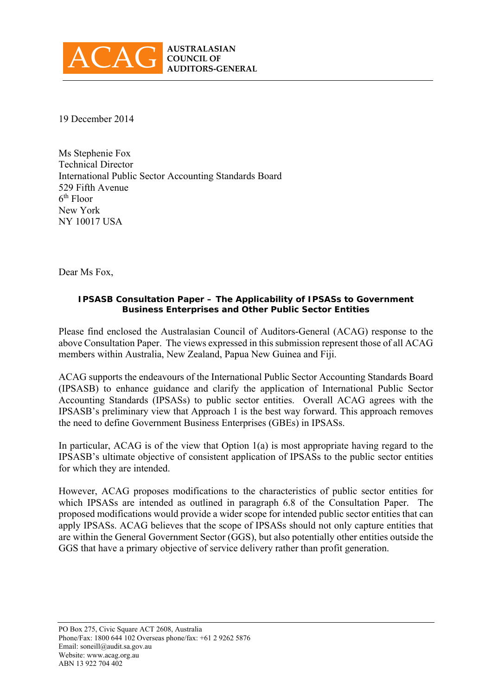

19 December 2014

Ms Stephenie Fox Technical Director International Public Sector Accounting Standards Board 529 Fifth Avenue 6th Floor New York NY 10017 USA

Dear Ms Fox,

#### **IPSASB Consultation Paper – The Applicability of IPSASs to Government Business Enterprises and Other Public Sector Entities**

Please find enclosed the Australasian Council of Auditors-General (ACAG) response to the above Consultation Paper. The views expressed in this submission represent those of all ACAG members within Australia, New Zealand, Papua New Guinea and Fiji.

ACAG supports the endeavours of the International Public Sector Accounting Standards Board (IPSASB) to enhance guidance and clarify the application of International Public Sector Accounting Standards (IPSASs) to public sector entities. Overall ACAG agrees with the IPSASB's preliminary view that Approach 1 is the best way forward. This approach removes the need to define Government Business Enterprises (GBEs) in IPSASs.

In particular, ACAG is of the view that Option 1(a) is most appropriate having regard to the IPSASB's ultimate objective of consistent application of IPSASs to the public sector entities for which they are intended.

However, ACAG proposes modifications to the characteristics of public sector entities for which IPSASs are intended as outlined in paragraph 6.8 of the Consultation Paper. The proposed modifications would provide a wider scope for intended public sector entities that can apply IPSASs. ACAG believes that the scope of IPSASs should not only capture entities that are within the General Government Sector (GGS), but also potentially other entities outside the GGS that have a primary objective of service delivery rather than profit generation.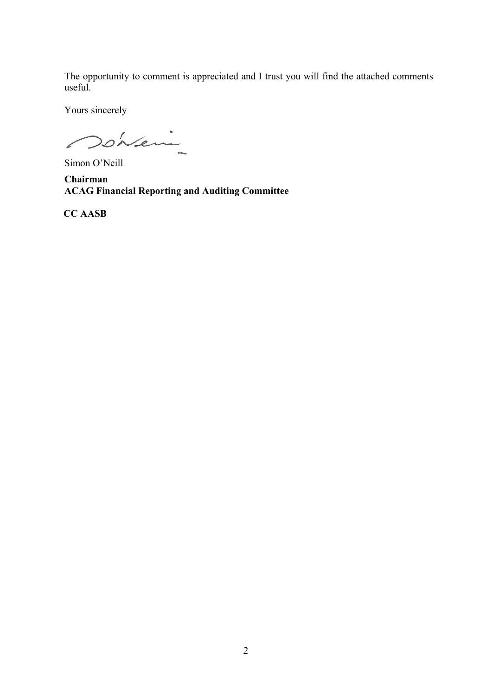The opportunity to comment is appreciated and I trust you will find the attached comments useful.

Yours sincerely

Donei

Simon O'Neill

**Chairman ACAG Financial Reporting and Auditing Committee** 

 **CC AASB**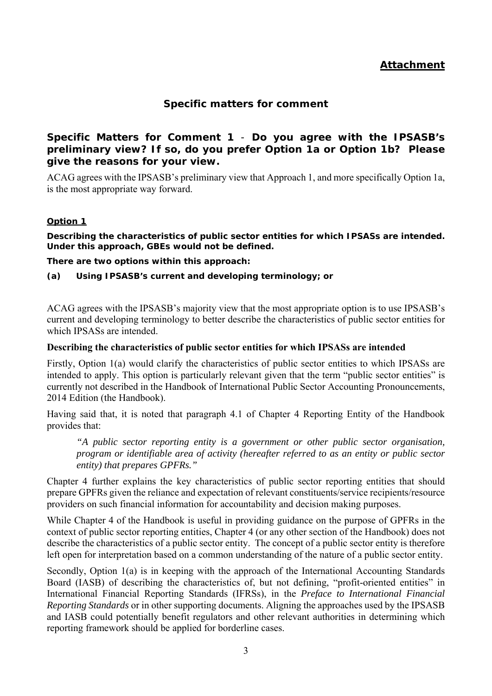# **Attachment**

## **Specific matters for comment**

## **Specific Matters for Comment 1** - *Do you agree with the IPSASB's preliminary view? If so, do you prefer Option 1a or Option 1b? Please give the reasons for your view.*

ACAG agrees with the IPSASB's preliminary view that Approach 1, and more specifically Option 1a, is the most appropriate way forward.

#### *Option 1*

*Describing the characteristics of public sector entities for which IPSASs are intended. Under this approach, GBEs would not be defined.* 

*There are two options within this approach:* 

*(a) Using IPSASB's current and developing terminology; or* 

ACAG agrees with the IPSASB's majority view that the most appropriate option is to use IPSASB's current and developing terminology to better describe the characteristics of public sector entities for which IPSASs are intended.

#### **Describing the characteristics of public sector entities for which IPSASs are intended**

Firstly, Option 1(a) would clarify the characteristics of public sector entities to which IPSASs are intended to apply. This option is particularly relevant given that the term "public sector entities" is currently not described in the Handbook of International Public Sector Accounting Pronouncements, 2014 Edition (the Handbook).

Having said that, it is noted that paragraph 4.1 of Chapter 4 Reporting Entity of the Handbook provides that:

*"A public sector reporting entity is a government or other public sector organisation, program or identifiable area of activity (hereafter referred to as an entity or public sector entity) that prepares GPFRs."* 

Chapter 4 further explains the key characteristics of public sector reporting entities that should prepare GPFRs given the reliance and expectation of relevant constituents/service recipients/resource providers on such financial information for accountability and decision making purposes.

While Chapter 4 of the Handbook is useful in providing guidance on the purpose of GPFRs in the context of public sector reporting entities, Chapter 4 (or any other section of the Handbook) does not describe the characteristics of a public sector entity. The concept of a public sector entity is therefore left open for interpretation based on a common understanding of the nature of a public sector entity.

Secondly, Option 1(a) is in keeping with the approach of the International Accounting Standards Board (IASB) of describing the characteristics of, but not defining, "profit-oriented entities" in International Financial Reporting Standards (IFRSs), in the *Preface to International Financial Reporting Standards* or in other supporting documents. Aligning the approaches used by the IPSASB and IASB could potentially benefit regulators and other relevant authorities in determining which reporting framework should be applied for borderline cases.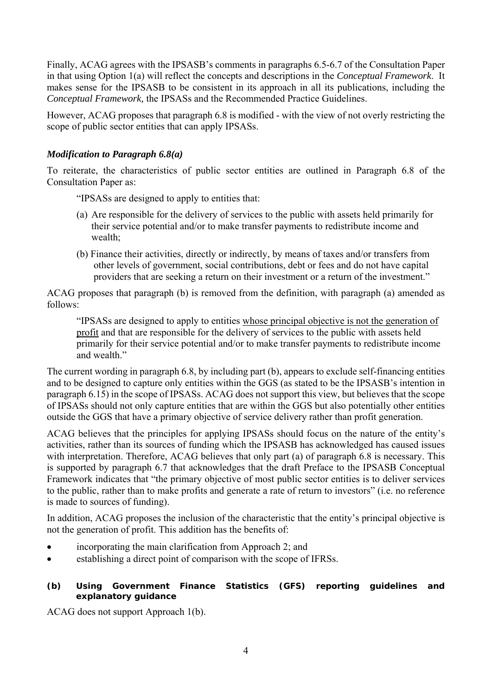Finally, ACAG agrees with the IPSASB's comments in paragraphs 6.5-6.7 of the Consultation Paper in that using Option 1(a) will reflect the concepts and descriptions in the *Conceptual Framework*. It makes sense for the IPSASB to be consistent in its approach in all its publications, including the *Conceptual Framework,* the IPSASs and the Recommended Practice Guidelines.

However, ACAG proposes that paragraph 6.8 is modified - with the view of not overly restricting the scope of public sector entities that can apply IPSASs.

## *Modification to Paragraph 6.8(a)*

To reiterate, the characteristics of public sector entities are outlined in Paragraph 6.8 of the Consultation Paper as:

"IPSASs are designed to apply to entities that:

- (a) Are responsible for the delivery of services to the public with assets held primarily for their service potential and/or to make transfer payments to redistribute income and wealth;
- (b) Finance their activities, directly or indirectly, by means of taxes and/or transfers from other levels of government, social contributions, debt or fees and do not have capital providers that are seeking a return on their investment or a return of the investment."

ACAG proposes that paragraph (b) is removed from the definition, with paragraph (a) amended as follows:

"IPSASs are designed to apply to entities whose principal objective is not the generation of profit and that are responsible for the delivery of services to the public with assets held primarily for their service potential and/or to make transfer payments to redistribute income and wealth."

The current wording in paragraph 6.8, by including part (b), appears to exclude self-financing entities and to be designed to capture only entities within the GGS (as stated to be the IPSASB's intention in paragraph 6.15) in the scope of IPSASs. ACAG does not support this view, but believes that the scope of IPSASs should not only capture entities that are within the GGS but also potentially other entities outside the GGS that have a primary objective of service delivery rather than profit generation.

ACAG believes that the principles for applying IPSASs should focus on the nature of the entity's activities, rather than its sources of funding which the IPSASB has acknowledged has caused issues with interpretation. Therefore, ACAG believes that only part (a) of paragraph 6.8 is necessary. This is supported by paragraph 6.7 that acknowledges that the draft Preface to the IPSASB Conceptual Framework indicates that "the primary objective of most public sector entities is to deliver services to the public, rather than to make profits and generate a rate of return to investors" (i.e. no reference is made to sources of funding).

In addition, ACAG proposes the inclusion of the characteristic that the entity's principal objective is not the generation of profit. This addition has the benefits of:

- incorporating the main clarification from Approach 2; and
- establishing a direct point of comparison with the scope of IFRSs.

## *(b) Using Government Finance Statistics (GFS) reporting guidelines and explanatory guidance*

ACAG does not support Approach 1(b).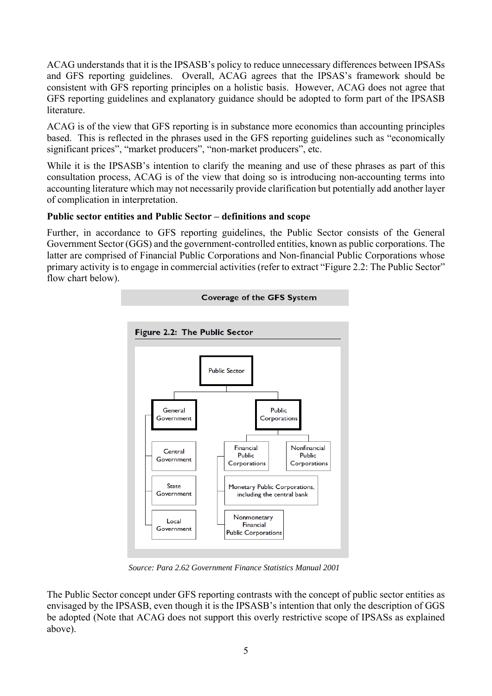ACAG understands that it is the IPSASB's policy to reduce unnecessary differences between IPSASs and GFS reporting guidelines. Overall, ACAG agrees that the IPSAS's framework should be consistent with GFS reporting principles on a holistic basis. However, ACAG does not agree that GFS reporting guidelines and explanatory guidance should be adopted to form part of the IPSASB literature.

ACAG is of the view that GFS reporting is in substance more economics than accounting principles based. This is reflected in the phrases used in the GFS reporting guidelines such as "economically significant prices", "market producers", "non-market producers", etc.

While it is the IPSASB's intention to clarify the meaning and use of these phrases as part of this consultation process, ACAG is of the view that doing so is introducing non-accounting terms into accounting literature which may not necessarily provide clarification but potentially add another layer of complication in interpretation.

## **Public sector entities and Public Sector – definitions and scope**

Further, in accordance to GFS reporting guidelines, the Public Sector consists of the General Government Sector (GGS) and the government-controlled entities, known as public corporations. The latter are comprised of Financial Public Corporations and Non-financial Public Corporations whose primary activity is to engage in commercial activities (refer to extract "Figure 2.2: The Public Sector" flow chart below).



*Source: Para 2.62 Government Finance Statistics Manual 2001* 

The Public Sector concept under GFS reporting contrasts with the concept of public sector entities as envisaged by the IPSASB, even though it is the IPSASB's intention that only the description of GGS be adopted (Note that ACAG does not support this overly restrictive scope of IPSASs as explained above).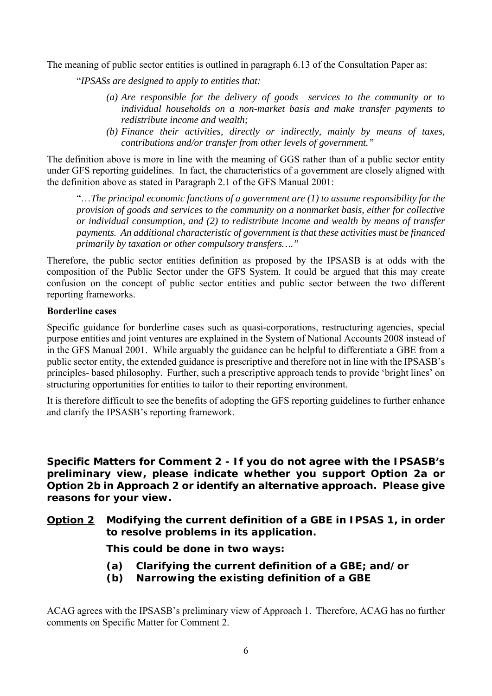The meaning of public sector entities is outlined in paragraph 6.13 of the Consultation Paper as:

"*IPSASs are designed to apply to entities that:* 

- *(a) Are responsible for the delivery of goods services to the community or to individual households on a non-market basis and make transfer payments to redistribute income and wealth;*
- *(b) Finance their activities, directly or indirectly, mainly by means of taxes, contributions and/or transfer from other levels of government."*

The definition above is more in line with the meaning of GGS rather than of a public sector entity under GFS reporting guidelines. In fact, the characteristics of a government are closely aligned with the definition above as stated in Paragraph 2.1 of the GFS Manual 2001:

"…*The principal economic functions of a government are (1) to assume responsibility for the provision of goods and services to the community on a nonmarket basis, either for collective or individual consumption, and (2) to redistribute income and wealth by means of transfer payments. An additional characteristic of government is that these activities must be financed primarily by taxation or other compulsory transfers…."*

Therefore, the public sector entities definition as proposed by the IPSASB is at odds with the composition of the Public Sector under the GFS System. It could be argued that this may create confusion on the concept of public sector entities and public sector between the two different reporting frameworks.

## **Borderline cases**

Specific guidance for borderline cases such as quasi-corporations, restructuring agencies, special purpose entities and joint ventures are explained in the System of National Accounts 2008 instead of in the GFS Manual 2001. While arguably the guidance can be helpful to differentiate a GBE from a public sector entity, the extended guidance is prescriptive and therefore not in line with the IPSASB's principles- based philosophy. Further, such a prescriptive approach tends to provide 'bright lines' on structuring opportunities for entities to tailor to their reporting environment.

It is therefore difficult to see the benefits of adopting the GFS reporting guidelines to further enhance and clarify the IPSASB's reporting framework.

**Specific Matters for Comment 2 -** *If you do not agree with the IPSASB's preliminary view, please indicate whether you support Option 2a or Option 2b in Approach 2 or identify an alternative approach. Please give reasons for your view.*

**Option 2 Modifying the current definition of a GBE in IPSAS 1, in order to resolve problems in its application.** 

**This could be done in two ways:** 

- **(a) Clarifying the current definition of a GBE; and/or**
- **(b) Narrowing the existing definition of a GBE**

ACAG agrees with the IPSASB's preliminary view of Approach 1. Therefore, ACAG has no further comments on Specific Matter for Comment 2.